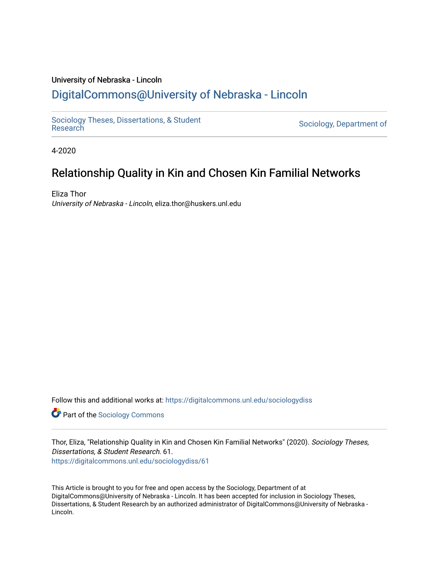# University of Nebraska - Lincoln [DigitalCommons@University of Nebraska - Lincoln](https://digitalcommons.unl.edu/)

[Sociology Theses, Dissertations, & Student](https://digitalcommons.unl.edu/sociologydiss)

Sociology, Department of

4-2020

# Relationship Quality in Kin and Chosen Kin Familial Networks

Eliza Thor University of Nebraska - Lincoln, eliza.thor@huskers.unl.edu

Follow this and additional works at: [https://digitalcommons.unl.edu/sociologydiss](https://digitalcommons.unl.edu/sociologydiss?utm_source=digitalcommons.unl.edu%2Fsociologydiss%2F61&utm_medium=PDF&utm_campaign=PDFCoverPages) 

**Part of the [Sociology Commons](http://network.bepress.com/hgg/discipline/416?utm_source=digitalcommons.unl.edu%2Fsociologydiss%2F61&utm_medium=PDF&utm_campaign=PDFCoverPages)** 

Thor, Eliza, "Relationship Quality in Kin and Chosen Kin Familial Networks" (2020). Sociology Theses, Dissertations, & Student Research. 61. [https://digitalcommons.unl.edu/sociologydiss/61](https://digitalcommons.unl.edu/sociologydiss/61?utm_source=digitalcommons.unl.edu%2Fsociologydiss%2F61&utm_medium=PDF&utm_campaign=PDFCoverPages)

This Article is brought to you for free and open access by the Sociology, Department of at DigitalCommons@University of Nebraska - Lincoln. It has been accepted for inclusion in Sociology Theses, Dissertations, & Student Research by an authorized administrator of DigitalCommons@University of Nebraska - Lincoln.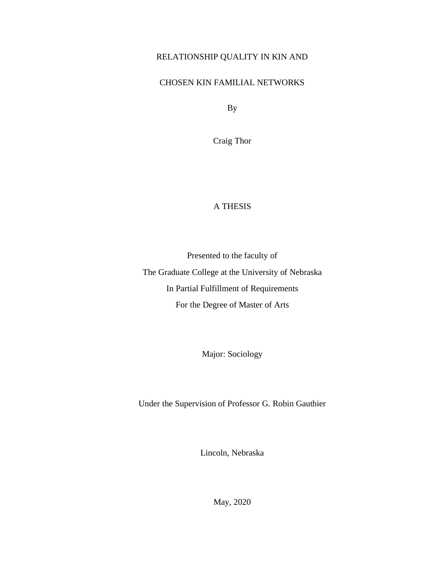# RELATIONSHIP QUALITY IN KIN AND

# CHOSEN KIN FAMILIAL NETWORKS

By

Craig Thor

# A THESIS

Presented to the faculty of The Graduate College at the University of Nebraska In Partial Fulfillment of Requirements For the Degree of Master of Arts

Major: Sociology

Under the Supervision of Professor G. Robin Gauthier

Lincoln, Nebraska

May, 2020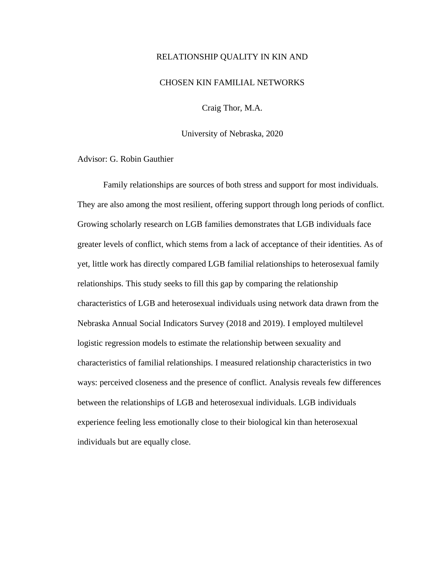# RELATIONSHIP QUALITY IN KIN AND

#### CHOSEN KIN FAMILIAL NETWORKS

Craig Thor, M.A.

University of Nebraska, 2020

Advisor: G. Robin Gauthier

Family relationships are sources of both stress and support for most individuals. They are also among the most resilient, offering support through long periods of conflict. Growing scholarly research on LGB families demonstrates that LGB individuals face greater levels of conflict, which stems from a lack of acceptance of their identities. As of yet, little work has directly compared LGB familial relationships to heterosexual family relationships. This study seeks to fill this gap by comparing the relationship characteristics of LGB and heterosexual individuals using network data drawn from the Nebraska Annual Social Indicators Survey (2018 and 2019). I employed multilevel logistic regression models to estimate the relationship between sexuality and characteristics of familial relationships. I measured relationship characteristics in two ways: perceived closeness and the presence of conflict. Analysis reveals few differences between the relationships of LGB and heterosexual individuals. LGB individuals experience feeling less emotionally close to their biological kin than heterosexual individuals but are equally close.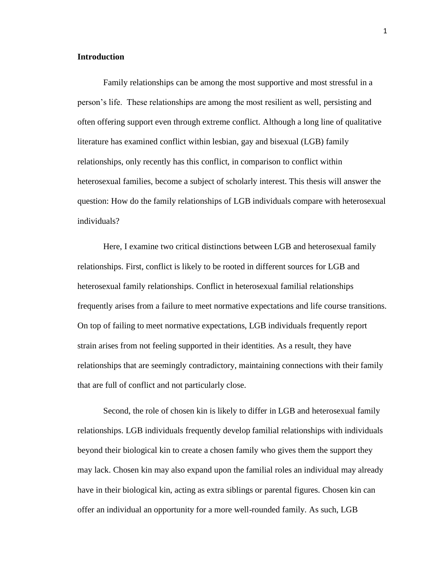# **Introduction**

Family relationships can be among the most supportive and most stressful in a person's life. These relationships are among the most resilient as well, persisting and often offering support even through extreme conflict. Although a long line of qualitative literature has examined conflict within lesbian, gay and bisexual (LGB) family relationships, only recently has this conflict, in comparison to conflict within heterosexual families, become a subject of scholarly interest. This thesis will answer the question: How do the family relationships of LGB individuals compare with heterosexual individuals?

Here, I examine two critical distinctions between LGB and heterosexual family relationships. First, conflict is likely to be rooted in different sources for LGB and heterosexual family relationships. Conflict in heterosexual familial relationships frequently arises from a failure to meet normative expectations and life course transitions. On top of failing to meet normative expectations, LGB individuals frequently report strain arises from not feeling supported in their identities. As a result, they have relationships that are seemingly contradictory, maintaining connections with their family that are full of conflict and not particularly close.

Second, the role of chosen kin is likely to differ in LGB and heterosexual family relationships. LGB individuals frequently develop familial relationships with individuals beyond their biological kin to create a chosen family who gives them the support they may lack. Chosen kin may also expand upon the familial roles an individual may already have in their biological kin, acting as extra siblings or parental figures. Chosen kin can offer an individual an opportunity for a more well-rounded family. As such, LGB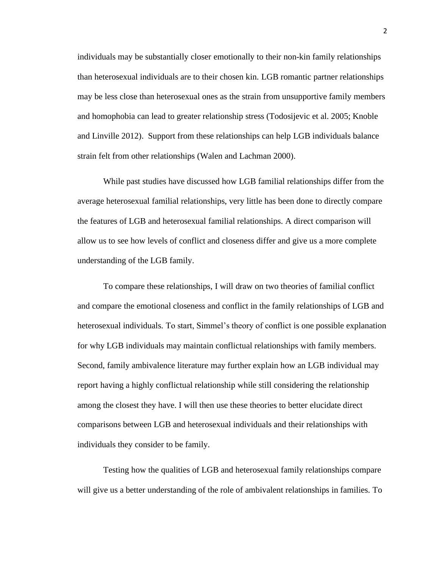individuals may be substantially closer emotionally to their non-kin family relationships than heterosexual individuals are to their chosen kin. LGB romantic partner relationships may be less close than heterosexual ones as the strain from unsupportive family members and homophobia can lead to greater relationship stress (Todosijevic et al. 2005; Knoble and Linville 2012). Support from these relationships can help LGB individuals balance strain felt from other relationships (Walen and Lachman 2000).

While past studies have discussed how LGB familial relationships differ from the average heterosexual familial relationships, very little has been done to directly compare the features of LGB and heterosexual familial relationships. A direct comparison will allow us to see how levels of conflict and closeness differ and give us a more complete understanding of the LGB family.

To compare these relationships, I will draw on two theories of familial conflict and compare the emotional closeness and conflict in the family relationships of LGB and heterosexual individuals. To start, Simmel's theory of conflict is one possible explanation for why LGB individuals may maintain conflictual relationships with family members. Second, family ambivalence literature may further explain how an LGB individual may report having a highly conflictual relationship while still considering the relationship among the closest they have. I will then use these theories to better elucidate direct comparisons between LGB and heterosexual individuals and their relationships with individuals they consider to be family.

Testing how the qualities of LGB and heterosexual family relationships compare will give us a better understanding of the role of ambivalent relationships in families. To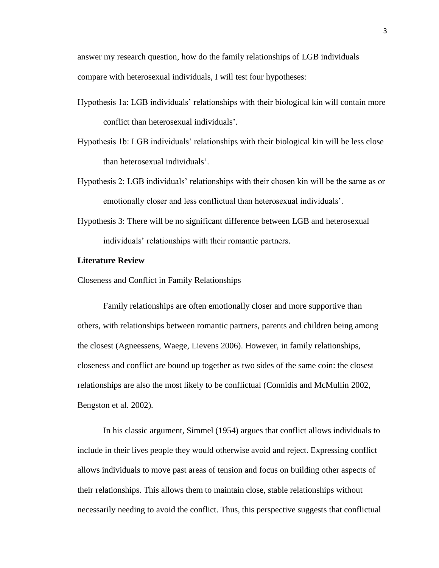answer my research question, how do the family relationships of LGB individuals compare with heterosexual individuals, I will test four hypotheses:

- Hypothesis 1a: LGB individuals' relationships with their biological kin will contain more conflict than heterosexual individuals'.
- Hypothesis 1b: LGB individuals' relationships with their biological kin will be less close than heterosexual individuals'.
- Hypothesis 2: LGB individuals' relationships with their chosen kin will be the same as or emotionally closer and less conflictual than heterosexual individuals'.
- Hypothesis 3: There will be no significant difference between LGB and heterosexual individuals' relationships with their romantic partners.

# **Literature Review**

Closeness and Conflict in Family Relationships

Family relationships are often emotionally closer and more supportive than others, with relationships between romantic partners, parents and children being among the closest (Agneessens, Waege, Lievens 2006). However, in family relationships, closeness and conflict are bound up together as two sides of the same coin: the closest relationships are also the most likely to be conflictual (Connidis and McMullin 2002, Bengston et al. 2002).

In his classic argument, Simmel (1954) argues that conflict allows individuals to include in their lives people they would otherwise avoid and reject. Expressing conflict allows individuals to move past areas of tension and focus on building other aspects of their relationships. This allows them to maintain close, stable relationships without necessarily needing to avoid the conflict. Thus, this perspective suggests that conflictual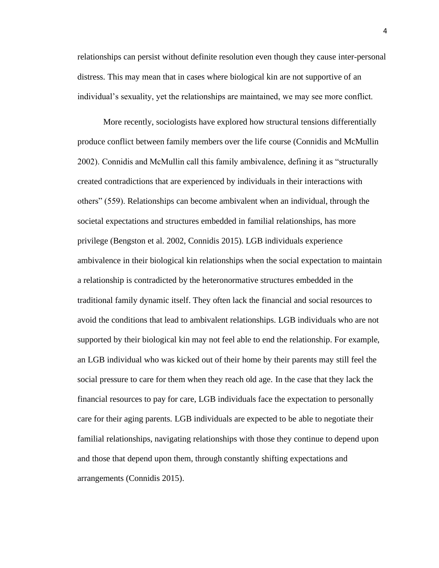relationships can persist without definite resolution even though they cause inter-personal distress. This may mean that in cases where biological kin are not supportive of an individual's sexuality, yet the relationships are maintained, we may see more conflict.

More recently, sociologists have explored how structural tensions differentially produce conflict between family members over the life course (Connidis and McMullin 2002). Connidis and McMullin call this family ambivalence, defining it as "structurally created contradictions that are experienced by individuals in their interactions with others" (559). Relationships can become ambivalent when an individual, through the societal expectations and structures embedded in familial relationships, has more privilege (Bengston et al. 2002, Connidis 2015). LGB individuals experience ambivalence in their biological kin relationships when the social expectation to maintain a relationship is contradicted by the heteronormative structures embedded in the traditional family dynamic itself. They often lack the financial and social resources to avoid the conditions that lead to ambivalent relationships. LGB individuals who are not supported by their biological kin may not feel able to end the relationship. For example, an LGB individual who was kicked out of their home by their parents may still feel the social pressure to care for them when they reach old age. In the case that they lack the financial resources to pay for care, LGB individuals face the expectation to personally care for their aging parents. LGB individuals are expected to be able to negotiate their familial relationships, navigating relationships with those they continue to depend upon and those that depend upon them, through constantly shifting expectations and arrangements (Connidis 2015).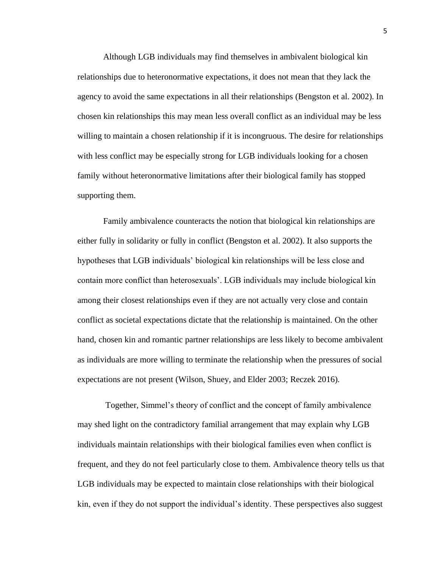Although LGB individuals may find themselves in ambivalent biological kin relationships due to heteronormative expectations, it does not mean that they lack the agency to avoid the same expectations in all their relationships (Bengston et al. 2002). In chosen kin relationships this may mean less overall conflict as an individual may be less willing to maintain a chosen relationship if it is incongruous. The desire for relationships with less conflict may be especially strong for LGB individuals looking for a chosen family without heteronormative limitations after their biological family has stopped supporting them.

Family ambivalence counteracts the notion that biological kin relationships are either fully in solidarity or fully in conflict (Bengston et al. 2002). It also supports the hypotheses that LGB individuals' biological kin relationships will be less close and contain more conflict than heterosexuals'. LGB individuals may include biological kin among their closest relationships even if they are not actually very close and contain conflict as societal expectations dictate that the relationship is maintained. On the other hand, chosen kin and romantic partner relationships are less likely to become ambivalent as individuals are more willing to terminate the relationship when the pressures of social expectations are not present (Wilson, Shuey, and Elder 2003; Reczek 2016).

Together, Simmel's theory of conflict and the concept of family ambivalence may shed light on the contradictory familial arrangement that may explain why LGB individuals maintain relationships with their biological families even when conflict is frequent, and they do not feel particularly close to them. Ambivalence theory tells us that LGB individuals may be expected to maintain close relationships with their biological kin, even if they do not support the individual's identity. These perspectives also suggest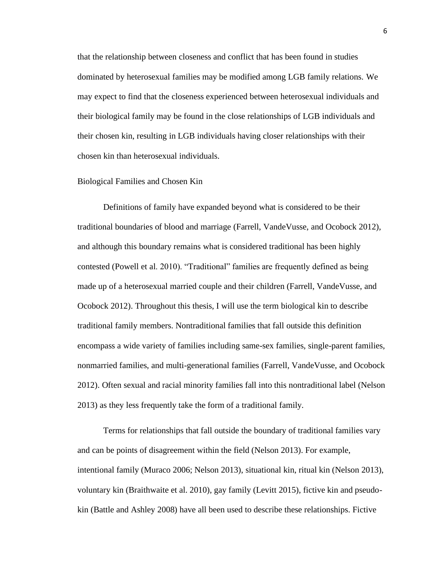that the relationship between closeness and conflict that has been found in studies dominated by heterosexual families may be modified among LGB family relations. We may expect to find that the closeness experienced between heterosexual individuals and their biological family may be found in the close relationships of LGB individuals and their chosen kin, resulting in LGB individuals having closer relationships with their chosen kin than heterosexual individuals.

# Biological Families and Chosen Kin

Definitions of family have expanded beyond what is considered to be their traditional boundaries of blood and marriage (Farrell, VandeVusse, and Ocobock 2012), and although this boundary remains what is considered traditional has been highly contested (Powell et al. 2010). "Traditional" families are frequently defined as being made up of a heterosexual married couple and their children (Farrell, VandeVusse, and Ocobock 2012). Throughout this thesis, I will use the term biological kin to describe traditional family members. Nontraditional families that fall outside this definition encompass a wide variety of families including same-sex families, single-parent families, nonmarried families, and multi-generational families (Farrell, VandeVusse, and Ocobock 2012). Often sexual and racial minority families fall into this nontraditional label (Nelson 2013) as they less frequently take the form of a traditional family.

Terms for relationships that fall outside the boundary of traditional families vary and can be points of disagreement within the field (Nelson 2013). For example, intentional family (Muraco 2006; Nelson 2013), situational kin, ritual kin (Nelson 2013), voluntary kin (Braithwaite et al. 2010), gay family (Levitt 2015), fictive kin and pseudokin (Battle and Ashley 2008) have all been used to describe these relationships. Fictive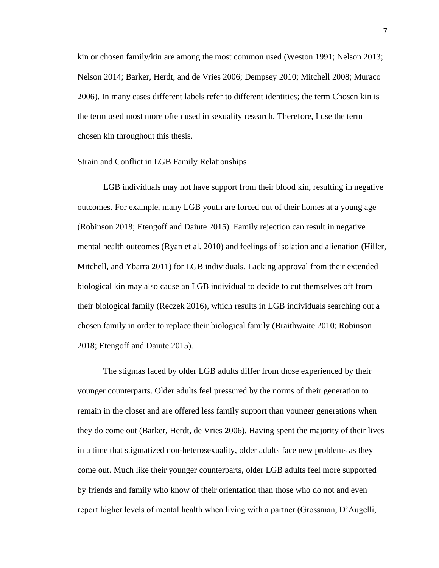kin or chosen family/kin are among the most common used (Weston 1991; Nelson 2013; Nelson 2014; Barker, Herdt, and de Vries 2006; Dempsey 2010; Mitchell 2008; Muraco 2006). In many cases different labels refer to different identities; the term Chosen kin is the term used most more often used in sexuality research. Therefore, I use the term chosen kin throughout this thesis.

### Strain and Conflict in LGB Family Relationships

LGB individuals may not have support from their blood kin, resulting in negative outcomes. For example, many LGB youth are forced out of their homes at a young age (Robinson 2018; Etengoff and Daiute 2015). Family rejection can result in negative mental health outcomes (Ryan et al. 2010) and feelings of isolation and alienation (Hiller, Mitchell, and Ybarra 2011) for LGB individuals. Lacking approval from their extended biological kin may also cause an LGB individual to decide to cut themselves off from their biological family (Reczek 2016), which results in LGB individuals searching out a chosen family in order to replace their biological family (Braithwaite 2010; Robinson 2018; Etengoff and Daiute 2015).

The stigmas faced by older LGB adults differ from those experienced by their younger counterparts. Older adults feel pressured by the norms of their generation to remain in the closet and are offered less family support than younger generations when they do come out (Barker, Herdt, de Vries 2006). Having spent the majority of their lives in a time that stigmatized non-heterosexuality, older adults face new problems as they come out. Much like their younger counterparts, older LGB adults feel more supported by friends and family who know of their orientation than those who do not and even report higher levels of mental health when living with a partner (Grossman, D'Augelli,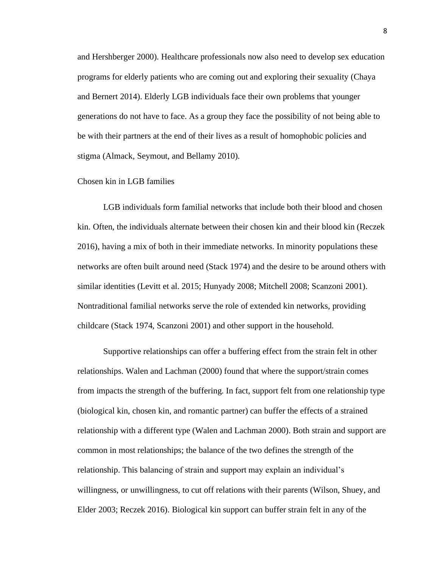and Hershberger 2000). Healthcare professionals now also need to develop sex education programs for elderly patients who are coming out and exploring their sexuality (Chaya and Bernert 2014). Elderly LGB individuals face their own problems that younger generations do not have to face. As a group they face the possibility of not being able to be with their partners at the end of their lives as a result of homophobic policies and stigma (Almack, Seymout, and Bellamy 2010).

# Chosen kin in LGB families

LGB individuals form familial networks that include both their blood and chosen kin. Often, the individuals alternate between their chosen kin and their blood kin (Reczek 2016), having a mix of both in their immediate networks. In minority populations these networks are often built around need (Stack 1974) and the desire to be around others with similar identities (Levitt et al. 2015; Hunyady 2008; Mitchell 2008; Scanzoni 2001). Nontraditional familial networks serve the role of extended kin networks, providing childcare (Stack 1974, Scanzoni 2001) and other support in the household.

Supportive relationships can offer a buffering effect from the strain felt in other relationships. Walen and Lachman (2000) found that where the support/strain comes from impacts the strength of the buffering. In fact, support felt from one relationship type (biological kin, chosen kin, and romantic partner) can buffer the effects of a strained relationship with a different type (Walen and Lachman 2000). Both strain and support are common in most relationships; the balance of the two defines the strength of the relationship. This balancing of strain and support may explain an individual's willingness, or unwillingness, to cut off relations with their parents (Wilson, Shuey, and Elder 2003; Reczek 2016). Biological kin support can buffer strain felt in any of the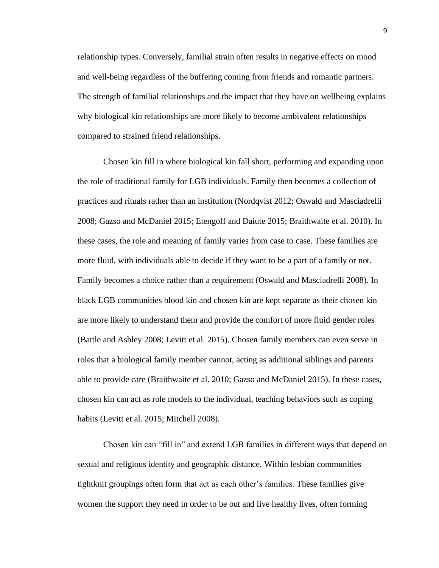relationship types. Conversely, familial strain often results in negative effects on mood and well-being regardless of the buffering coming from friends and romantic partners. The strength of familial relationships and the impact that they have on wellbeing explains why biological kin relationships are more likely to become ambivalent relationships compared to strained friend relationships.

Chosen kin fill in where biological kin fall short, performing and expanding upon the role of traditional family for LGB individuals. Family then becomes a collection of practices and rituals rather than an institution (Nordqvist 2012; Oswald and Masciadrelli 2008; Gazso and McDaniel 2015; Etengoff and Daiute 2015; Braithwaite et al. 2010). In these cases, the role and meaning of family varies from case to case. These families are more fluid, with individuals able to decide if they want to be a part of a family or not. Family becomes a choice rather than a requirement (Oswald and Masciadrelli 2008). In black LGB communities blood kin and chosen kin are kept separate as their chosen kin are more likely to understand them and provide the comfort of more fluid gender roles (Battle and Ashley 2008; Levitt et al. 2015). Chosen family members can even serve in roles that a biological family member cannot, acting as additional siblings and parents able to provide care (Braithwaite et al. 2010; Gazso and McDaniel 2015). In these cases, chosen kin can act as role models to the individual, teaching behaviors such as coping habits (Levitt et al. 2015; Mitchell 2008).

Chosen kin can "fill in" and extend LGB families in different ways that depend on sexual and religious identity and geographic distance. Within lesbian communities tightknit groupings often form that act as each other's families. These families give women the support they need in order to be out and live healthy lives, often forming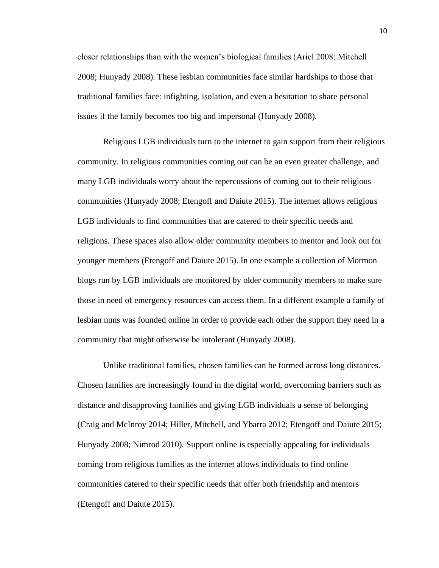closer relationships than with the women's biological families (Ariel 2008; Mitchell 2008; Hunyady 2008). These lesbian communities face similar hardships to those that traditional families face: infighting, isolation, and even a hesitation to share personal issues if the family becomes too big and impersonal (Hunyady 2008).

Religious LGB individuals turn to the internet to gain support from their religious community. In religious communities coming out can be an even greater challenge, and many LGB individuals worry about the repercussions of coming out to their religious communities (Hunyady 2008; Etengoff and Daiute 2015). The internet allows religious LGB individuals to find communities that are catered to their specific needs and religions. These spaces also allow older community members to mentor and look out for younger members (Etengoff and Daiute 2015). In one example a collection of Mormon blogs run by LGB individuals are monitored by older community members to make sure those in need of emergency resources can access them. In a different example a family of lesbian nuns was founded online in order to provide each other the support they need in a community that might otherwise be intolerant (Hunyady 2008).

Unlike traditional families, chosen families can be formed across long distances. Chosen families are increasingly found in the digital world, overcoming barriers such as distance and disapproving families and giving LGB individuals a sense of belonging (Craig and McInroy 2014; Hiller, Mitchell, and Ybarra 2012; Etengoff and Daiute 2015; Hunyady 2008; Nimrod 2010). Support online is especially appealing for individuals coming from religious families as the internet allows individuals to find online communities catered to their specific needs that offer both friendship and mentors (Etengoff and Daiute 2015).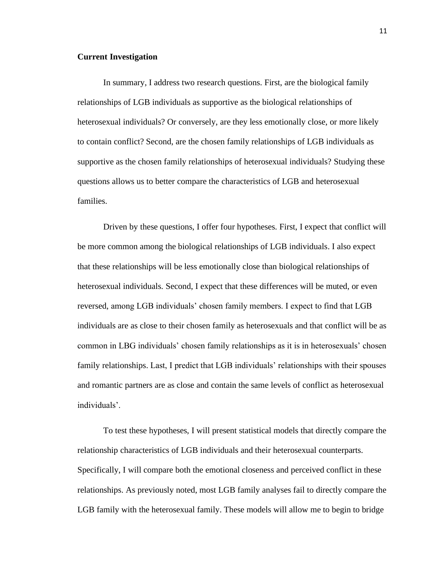#### **Current Investigation**

In summary, I address two research questions. First, are the biological family relationships of LGB individuals as supportive as the biological relationships of heterosexual individuals? Or conversely, are they less emotionally close, or more likely to contain conflict? Second, are the chosen family relationships of LGB individuals as supportive as the chosen family relationships of heterosexual individuals? Studying these questions allows us to better compare the characteristics of LGB and heterosexual families.

Driven by these questions, I offer four hypotheses. First, I expect that conflict will be more common among the biological relationships of LGB individuals. I also expect that these relationships will be less emotionally close than biological relationships of heterosexual individuals. Second, I expect that these differences will be muted, or even reversed, among LGB individuals' chosen family members. I expect to find that LGB individuals are as close to their chosen family as heterosexuals and that conflict will be as common in LBG individuals' chosen family relationships as it is in heterosexuals' chosen family relationships. Last, I predict that LGB individuals' relationships with their spouses and romantic partners are as close and contain the same levels of conflict as heterosexual individuals'.

To test these hypotheses, I will present statistical models that directly compare the relationship characteristics of LGB individuals and their heterosexual counterparts. Specifically, I will compare both the emotional closeness and perceived conflict in these relationships. As previously noted, most LGB family analyses fail to directly compare the LGB family with the heterosexual family. These models will allow me to begin to bridge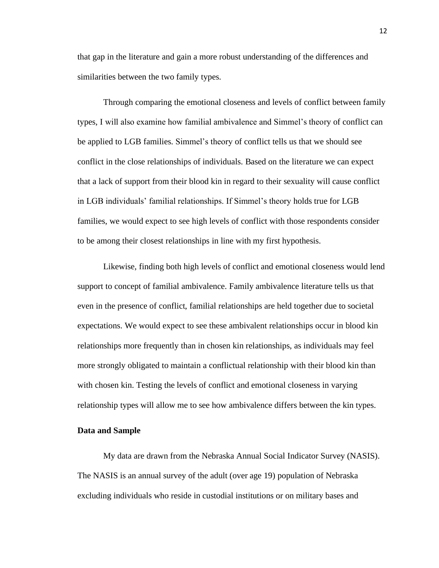that gap in the literature and gain a more robust understanding of the differences and similarities between the two family types.

Through comparing the emotional closeness and levels of conflict between family types, I will also examine how familial ambivalence and Simmel's theory of conflict can be applied to LGB families. Simmel's theory of conflict tells us that we should see conflict in the close relationships of individuals. Based on the literature we can expect that a lack of support from their blood kin in regard to their sexuality will cause conflict in LGB individuals' familial relationships. If Simmel's theory holds true for LGB families, we would expect to see high levels of conflict with those respondents consider to be among their closest relationships in line with my first hypothesis.

Likewise, finding both high levels of conflict and emotional closeness would lend support to concept of familial ambivalence. Family ambivalence literature tells us that even in the presence of conflict, familial relationships are held together due to societal expectations. We would expect to see these ambivalent relationships occur in blood kin relationships more frequently than in chosen kin relationships, as individuals may feel more strongly obligated to maintain a conflictual relationship with their blood kin than with chosen kin. Testing the levels of conflict and emotional closeness in varying relationship types will allow me to see how ambivalence differs between the kin types.

### **Data and Sample**

My data are drawn from the Nebraska Annual Social Indicator Survey (NASIS). The NASIS is an annual survey of the adult (over age 19) population of Nebraska excluding individuals who reside in custodial institutions or on military bases and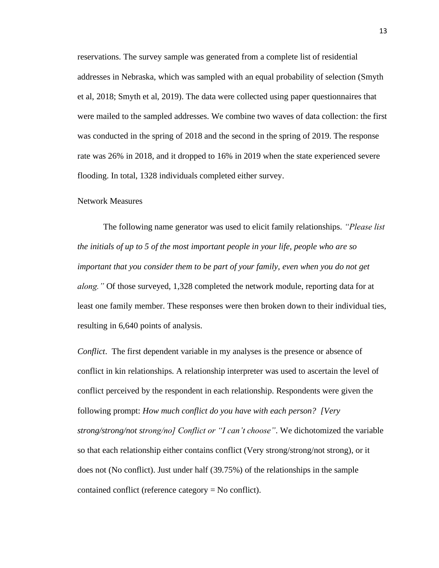reservations. The survey sample was generated from a complete list of residential addresses in Nebraska, which was sampled with an equal probability of selection (Smyth et al, 2018; Smyth et al, 2019). The data were collected using paper questionnaires that were mailed to the sampled addresses. We combine two waves of data collection: the first was conducted in the spring of 2018 and the second in the spring of 2019. The response rate was 26% in 2018, and it dropped to 16% in 2019 when the state experienced severe flooding. In total, 1328 individuals completed either survey.

#### Network Measures

The following name generator was used to elicit family relationships. *"Please list the initials of up to 5 of the most important people in your life, people who are so important that you consider them to be part of your family, even when you do not get along."* Of those surveyed, 1,328 completed the network module, reporting data for at least one family member. These responses were then broken down to their individual ties, resulting in 6,640 points of analysis.

*Conflict*. The first dependent variable in my analyses is the presence or absence of conflict in kin relationships. A relationship interpreter was used to ascertain the level of conflict perceived by the respondent in each relationship. Respondents were given the following prompt: *How much conflict do you have with each person? [Very strong/strong/not strong/no] Conflict or "I can't choose"*. We dichotomized the variable so that each relationship either contains conflict (Very strong/strong/not strong), or it does not (No conflict). Just under half (39.75%) of the relationships in the sample contained conflict (reference category = No conflict).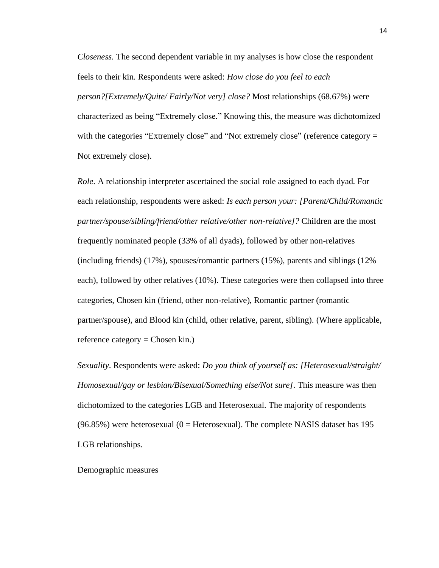*Closeness.* The second dependent variable in my analyses is how close the respondent feels to their kin. Respondents were asked: *How close do you feel to each person?[Extremely/Quite/ Fairly/Not very] close?* Most relationships (68.67%) were characterized as being "Extremely close*.*" Knowing this, the measure was dichotomized with the categories "Extremely close" and "Not extremely close" (reference category = Not extremely close).

*Role*. A relationship interpreter ascertained the social role assigned to each dyad. For each relationship, respondents were asked: *Is each person your: [Parent/Child/Romantic partner/spouse/sibling/friend/other relative/other non-relative]?* Children are the most frequently nominated people (33% of all dyads), followed by other non-relatives (including friends) (17%), spouses/romantic partners (15%), parents and siblings (12% each), followed by other relatives (10%). These categories were then collapsed into three categories, Chosen kin (friend, other non-relative), Romantic partner (romantic partner/spouse), and Blood kin (child, other relative, parent, sibling). (Where applicable, reference category = Chosen kin.)

*Sexuality*. Respondents were asked: *Do you think of yourself as: [Heterosexual/straight/ Homosexual/gay or lesbian/Bisexual/Something else/Not sure]*. This measure was then dichotomized to the categories LGB and Heterosexual. The majority of respondents  $(96.85%)$  were heterosexual  $(0 = Heteroseval)$ . The complete NASIS dataset has 195 LGB relationships.

Demographic measures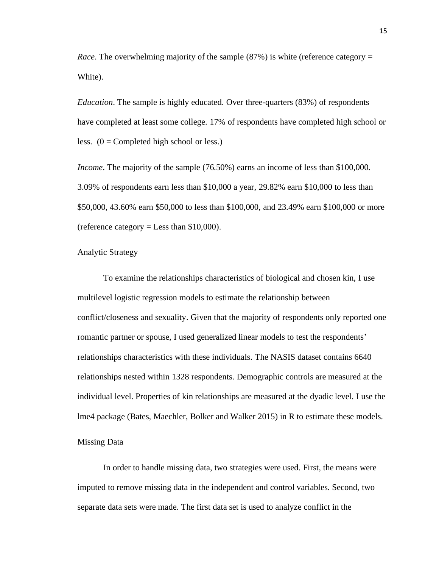*Race*. The overwhelming majority of the sample (87%) is white (reference category = White).

*Education*. The sample is highly educated. Over three-quarters (83%) of respondents have completed at least some college. 17% of respondents have completed high school or less.  $(0 = \text{Complete} \text{ high school or less.})$ 

*Income*. The majority of the sample (76.50%) earns an income of less than \$100,000. 3.09% of respondents earn less than \$10,000 a year, 29.82% earn \$10,000 to less than \$50,000, 43.60% earn \$50,000 to less than \$100,000, and 23.49% earn \$100,000 or more (reference category  $=$  Less than \$10,000).

# Analytic Strategy

To examine the relationships characteristics of biological and chosen kin, I use multilevel logistic regression models to estimate the relationship between conflict/closeness and sexuality. Given that the majority of respondents only reported one romantic partner or spouse, I used generalized linear models to test the respondents' relationships characteristics with these individuals. The NASIS dataset contains 6640 relationships nested within 1328 respondents. Demographic controls are measured at the individual level. Properties of kin relationships are measured at the dyadic level. I use the lme4 package (Bates, Maechler, Bolker and Walker 2015) in R to estimate these models.

# Missing Data

In order to handle missing data, two strategies were used. First, the means were imputed to remove missing data in the independent and control variables. Second, two separate data sets were made. The first data set is used to analyze conflict in the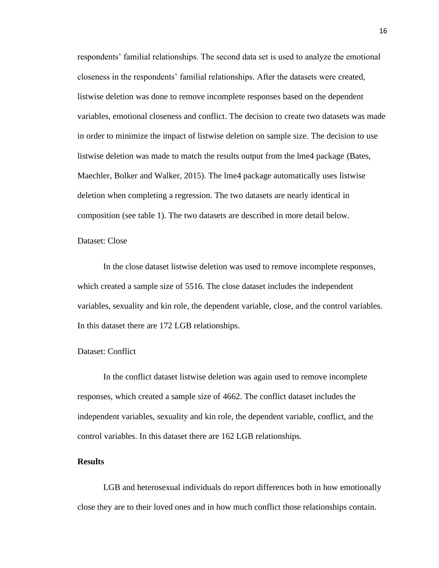respondents' familial relationships. The second data set is used to analyze the emotional closeness in the respondents' familial relationships. After the datasets were created, listwise deletion was done to remove incomplete responses based on the dependent variables, emotional closeness and conflict. The decision to create two datasets was made in order to minimize the impact of listwise deletion on sample size. The decision to use listwise deletion was made to match the results output from the lme4 package (Bates, Maechler, Bolker and Walker, 2015). The lme4 package automatically uses listwise deletion when completing a regression. The two datasets are nearly identical in composition (see table 1). The two datasets are described in more detail below.

# Dataset: Close

In the close dataset listwise deletion was used to remove incomplete responses, which created a sample size of 5516. The close dataset includes the independent variables, sexuality and kin role, the dependent variable, close, and the control variables. In this dataset there are 172 LGB relationships.

# Dataset: Conflict

In the conflict dataset listwise deletion was again used to remove incomplete responses, which created a sample size of 4662. The conflict dataset includes the independent variables, sexuality and kin role, the dependent variable, conflict, and the control variables. In this dataset there are 162 LGB relationships.

# **Results**

LGB and heterosexual individuals do report differences both in how emotionally close they are to their loved ones and in how much conflict those relationships contain.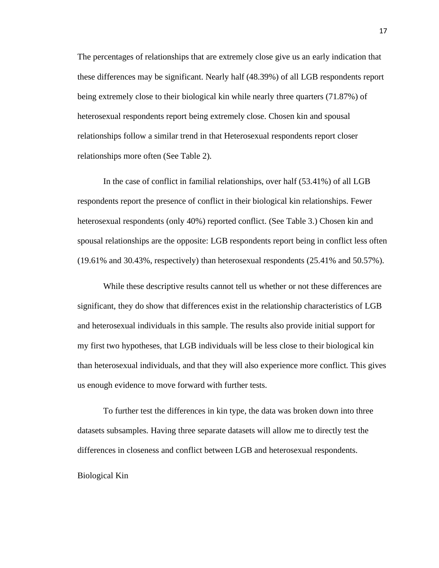The percentages of relationships that are extremely close give us an early indication that these differences may be significant. Nearly half (48.39%) of all LGB respondents report being extremely close to their biological kin while nearly three quarters (71.87%) of heterosexual respondents report being extremely close. Chosen kin and spousal relationships follow a similar trend in that Heterosexual respondents report closer relationships more often (See Table 2).

In the case of conflict in familial relationships, over half (53.41%) of all LGB respondents report the presence of conflict in their biological kin relationships. Fewer heterosexual respondents (only 40%) reported conflict. (See Table 3.) Chosen kin and spousal relationships are the opposite: LGB respondents report being in conflict less often (19.61% and 30.43%, respectively) than heterosexual respondents (25.41% and 50.57%).

While these descriptive results cannot tell us whether or not these differences are significant, they do show that differences exist in the relationship characteristics of LGB and heterosexual individuals in this sample. The results also provide initial support for my first two hypotheses, that LGB individuals will be less close to their biological kin than heterosexual individuals, and that they will also experience more conflict. This gives us enough evidence to move forward with further tests.

To further test the differences in kin type, the data was broken down into three datasets subsamples. Having three separate datasets will allow me to directly test the differences in closeness and conflict between LGB and heterosexual respondents.

#### Biological Kin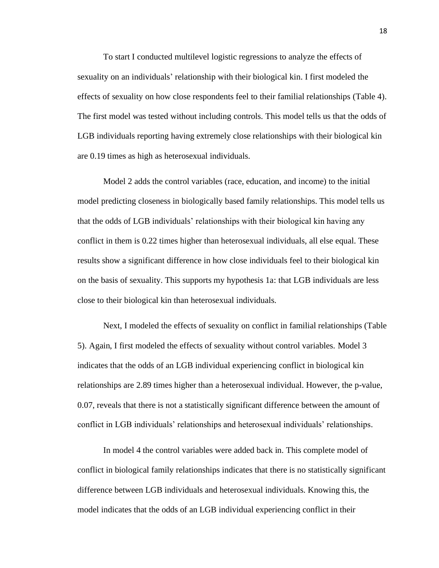To start I conducted multilevel logistic regressions to analyze the effects of sexuality on an individuals' relationship with their biological kin. I first modeled the effects of sexuality on how close respondents feel to their familial relationships (Table 4). The first model was tested without including controls. This model tells us that the odds of LGB individuals reporting having extremely close relationships with their biological kin are 0.19 times as high as heterosexual individuals.

Model 2 adds the control variables (race, education, and income) to the initial model predicting closeness in biologically based family relationships. This model tells us that the odds of LGB individuals' relationships with their biological kin having any conflict in them is 0.22 times higher than heterosexual individuals, all else equal. These results show a significant difference in how close individuals feel to their biological kin on the basis of sexuality. This supports my hypothesis 1a: that LGB individuals are less close to their biological kin than heterosexual individuals.

Next, I modeled the effects of sexuality on conflict in familial relationships (Table 5). Again, I first modeled the effects of sexuality without control variables. Model 3 indicates that the odds of an LGB individual experiencing conflict in biological kin relationships are 2.89 times higher than a heterosexual individual. However, the p-value, 0.07, reveals that there is not a statistically significant difference between the amount of conflict in LGB individuals' relationships and heterosexual individuals' relationships.

In model 4 the control variables were added back in. This complete model of conflict in biological family relationships indicates that there is no statistically significant difference between LGB individuals and heterosexual individuals. Knowing this, the model indicates that the odds of an LGB individual experiencing conflict in their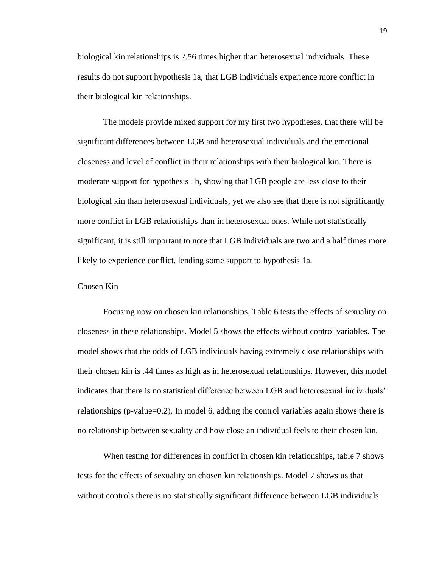biological kin relationships is 2.56 times higher than heterosexual individuals. These results do not support hypothesis 1a, that LGB individuals experience more conflict in their biological kin relationships.

The models provide mixed support for my first two hypotheses, that there will be significant differences between LGB and heterosexual individuals and the emotional closeness and level of conflict in their relationships with their biological kin. There is moderate support for hypothesis 1b, showing that LGB people are less close to their biological kin than heterosexual individuals, yet we also see that there is not significantly more conflict in LGB relationships than in heterosexual ones. While not statistically significant, it is still important to note that LGB individuals are two and a half times more likely to experience conflict, lending some support to hypothesis 1a.

#### Chosen Kin

Focusing now on chosen kin relationships, Table 6 tests the effects of sexuality on closeness in these relationships. Model 5 shows the effects without control variables. The model shows that the odds of LGB individuals having extremely close relationships with their chosen kin is .44 times as high as in heterosexual relationships. However, this model indicates that there is no statistical difference between LGB and heterosexual individuals' relationships (p-value=0.2). In model 6, adding the control variables again shows there is no relationship between sexuality and how close an individual feels to their chosen kin.

When testing for differences in conflict in chosen kin relationships, table 7 shows tests for the effects of sexuality on chosen kin relationships. Model 7 shows us that without controls there is no statistically significant difference between LGB individuals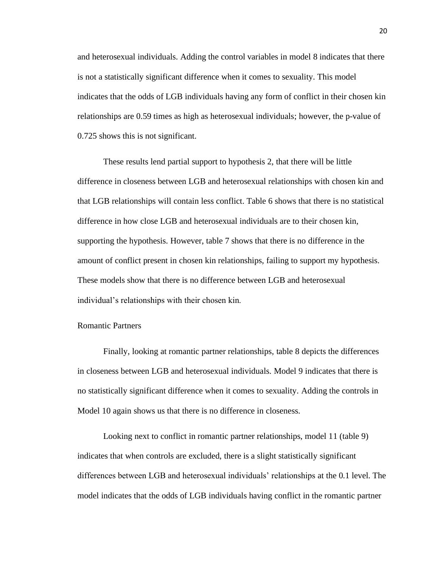and heterosexual individuals. Adding the control variables in model 8 indicates that there is not a statistically significant difference when it comes to sexuality. This model indicates that the odds of LGB individuals having any form of conflict in their chosen kin relationships are 0.59 times as high as heterosexual individuals; however, the p-value of 0.725 shows this is not significant.

These results lend partial support to hypothesis 2, that there will be little difference in closeness between LGB and heterosexual relationships with chosen kin and that LGB relationships will contain less conflict. Table 6 shows that there is no statistical difference in how close LGB and heterosexual individuals are to their chosen kin, supporting the hypothesis. However, table 7 shows that there is no difference in the amount of conflict present in chosen kin relationships, failing to support my hypothesis. These models show that there is no difference between LGB and heterosexual individual's relationships with their chosen kin.

# Romantic Partners

Finally, looking at romantic partner relationships, table 8 depicts the differences in closeness between LGB and heterosexual individuals. Model 9 indicates that there is no statistically significant difference when it comes to sexuality. Adding the controls in Model 10 again shows us that there is no difference in closeness.

Looking next to conflict in romantic partner relationships, model 11 (table 9) indicates that when controls are excluded, there is a slight statistically significant differences between LGB and heterosexual individuals' relationships at the 0.1 level. The model indicates that the odds of LGB individuals having conflict in the romantic partner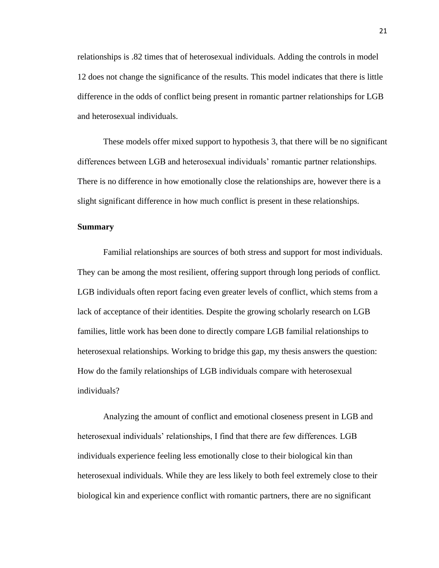relationships is .82 times that of heterosexual individuals. Adding the controls in model 12 does not change the significance of the results. This model indicates that there is little difference in the odds of conflict being present in romantic partner relationships for LGB and heterosexual individuals.

These models offer mixed support to hypothesis 3, that there will be no significant differences between LGB and heterosexual individuals' romantic partner relationships. There is no difference in how emotionally close the relationships are, however there is a slight significant difference in how much conflict is present in these relationships.

#### **Summary**

Familial relationships are sources of both stress and support for most individuals. They can be among the most resilient, offering support through long periods of conflict. LGB individuals often report facing even greater levels of conflict, which stems from a lack of acceptance of their identities. Despite the growing scholarly research on LGB families, little work has been done to directly compare LGB familial relationships to heterosexual relationships. Working to bridge this gap, my thesis answers the question: How do the family relationships of LGB individuals compare with heterosexual individuals?

Analyzing the amount of conflict and emotional closeness present in LGB and heterosexual individuals' relationships, I find that there are few differences. LGB individuals experience feeling less emotionally close to their biological kin than heterosexual individuals. While they are less likely to both feel extremely close to their biological kin and experience conflict with romantic partners, there are no significant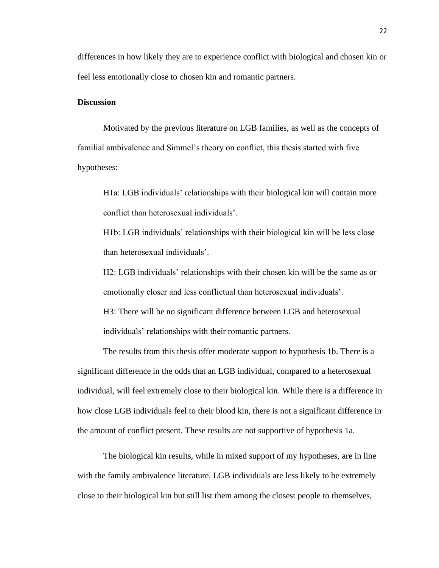differences in how likely they are to experience conflict with biological and chosen kin or feel less emotionally close to chosen kin and romantic partners.

### **Discussion**

Motivated by the previous literature on LGB families, as well as the concepts of familial ambivalence and Simmel's theory on conflict, this thesis started with five hypotheses:

H1a: LGB individuals' relationships with their biological kin will contain more conflict than heterosexual individuals'.

H1b: LGB individuals' relationships with their biological kin will be less close than heterosexual individuals'.

H2: LGB individuals' relationships with their chosen kin will be the same as or emotionally closer and less conflictual than heterosexual individuals'.

H3: There will be no significant difference between LGB and heterosexual individuals' relationships with their romantic partners.

The results from this thesis offer moderate support to hypothesis 1b. There is a significant difference in the odds that an LGB individual, compared to a heterosexual individual, will feel extremely close to their biological kin. While there is a difference in how close LGB individuals feel to their blood kin, there is not a significant difference in the amount of conflict present. These results are not supportive of hypothesis 1a.

The biological kin results, while in mixed support of my hypotheses, are in line with the family ambivalence literature. LGB individuals are less likely to be extremely close to their biological kin but still list them among the closest people to themselves,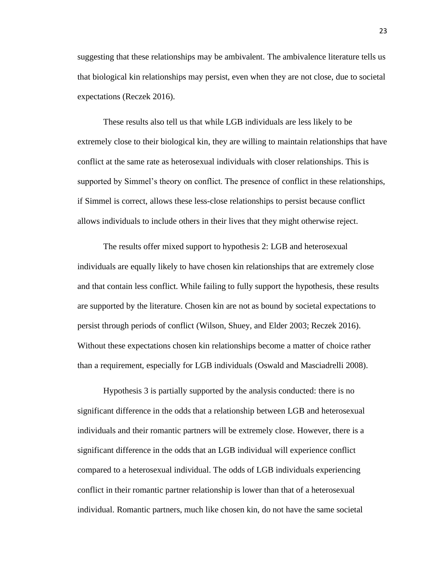suggesting that these relationships may be ambivalent. The ambivalence literature tells us that biological kin relationships may persist, even when they are not close, due to societal expectations (Reczek 2016).

These results also tell us that while LGB individuals are less likely to be extremely close to their biological kin, they are willing to maintain relationships that have conflict at the same rate as heterosexual individuals with closer relationships. This is supported by Simmel's theory on conflict. The presence of conflict in these relationships, if Simmel is correct, allows these less-close relationships to persist because conflict allows individuals to include others in their lives that they might otherwise reject.

The results offer mixed support to hypothesis 2: LGB and heterosexual individuals are equally likely to have chosen kin relationships that are extremely close and that contain less conflict. While failing to fully support the hypothesis, these results are supported by the literature. Chosen kin are not as bound by societal expectations to persist through periods of conflict (Wilson, Shuey, and Elder 2003; Reczek 2016). Without these expectations chosen kin relationships become a matter of choice rather than a requirement, especially for LGB individuals (Oswald and Masciadrelli 2008).

Hypothesis 3 is partially supported by the analysis conducted: there is no significant difference in the odds that a relationship between LGB and heterosexual individuals and their romantic partners will be extremely close. However, there is a significant difference in the odds that an LGB individual will experience conflict compared to a heterosexual individual. The odds of LGB individuals experiencing conflict in their romantic partner relationship is lower than that of a heterosexual individual. Romantic partners, much like chosen kin, do not have the same societal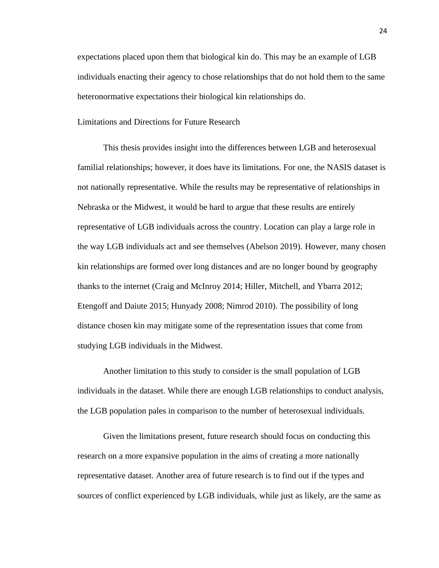expectations placed upon them that biological kin do. This may be an example of LGB individuals enacting their agency to chose relationships that do not hold them to the same heteronormative expectations their biological kin relationships do.

Limitations and Directions for Future Research

This thesis provides insight into the differences between LGB and heterosexual familial relationships; however, it does have its limitations. For one, the NASIS dataset is not nationally representative. While the results may be representative of relationships in Nebraska or the Midwest, it would be hard to argue that these results are entirely representative of LGB individuals across the country. Location can play a large role in the way LGB individuals act and see themselves (Abelson 2019). However, many chosen kin relationships are formed over long distances and are no longer bound by geography thanks to the internet (Craig and McInroy 2014; Hiller, Mitchell, and Ybarra 2012; Etengoff and Daiute 2015; Hunyady 2008; Nimrod 2010). The possibility of long distance chosen kin may mitigate some of the representation issues that come from studying LGB individuals in the Midwest.

Another limitation to this study to consider is the small population of LGB individuals in the dataset. While there are enough LGB relationships to conduct analysis, the LGB population pales in comparison to the number of heterosexual individuals.

Given the limitations present, future research should focus on conducting this research on a more expansive population in the aims of creating a more nationally representative dataset. Another area of future research is to find out if the types and sources of conflict experienced by LGB individuals, while just as likely, are the same as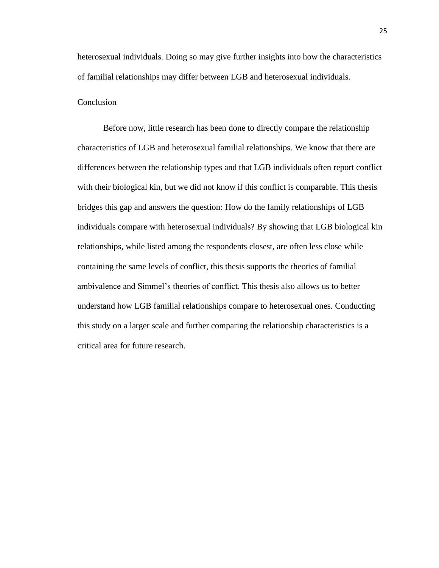heterosexual individuals. Doing so may give further insights into how the characteristics of familial relationships may differ between LGB and heterosexual individuals.

# **Conclusion**

Before now, little research has been done to directly compare the relationship characteristics of LGB and heterosexual familial relationships. We know that there are differences between the relationship types and that LGB individuals often report conflict with their biological kin, but we did not know if this conflict is comparable. This thesis bridges this gap and answers the question: How do the family relationships of LGB individuals compare with heterosexual individuals? By showing that LGB biological kin relationships, while listed among the respondents closest, are often less close while containing the same levels of conflict, this thesis supports the theories of familial ambivalence and Simmel's theories of conflict. This thesis also allows us to better understand how LGB familial relationships compare to heterosexual ones. Conducting this study on a larger scale and further comparing the relationship characteristics is a critical area for future research.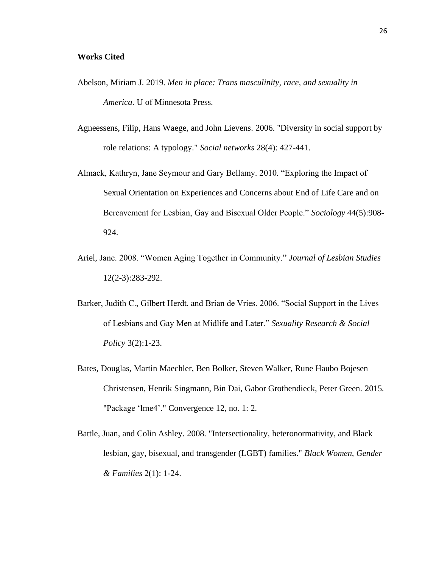- Abelson, Miriam J. 2019. *Men in place: Trans masculinity, race, and sexuality in America*. U of Minnesota Press.
- Agneessens, Filip, Hans Waege, and John Lievens. 2006. "Diversity in social support by role relations: A typology." *Social networks* 28(4): 427-441.
- Almack, Kathryn, Jane Seymour and Gary Bellamy. 2010. "Exploring the Impact of Sexual Orientation on Experiences and Concerns about End of Life Care and on Bereavement for Lesbian, Gay and Bisexual Older People." *Sociology* 44(5):908- 924.
- Ariel, Jane. 2008. "Women Aging Together in Community." *Journal of Lesbian Studies* 12(2-3):283-292.
- Barker, Judith C., Gilbert Herdt, and Brian de Vries. 2006. "Social Support in the Lives of Lesbians and Gay Men at Midlife and Later." *Sexuality Research & Social Policy* 3(2):1-23.
- Bates, Douglas, Martin Maechler, Ben Bolker, Steven Walker, Rune Haubo Bojesen Christensen, Henrik Singmann, Bin Dai, Gabor Grothendieck, Peter Green. 2015. "Package 'lme4'." Convergence 12, no. 1: 2.
- Battle, Juan, and Colin Ashley. 2008. "Intersectionality, heteronormativity, and Black lesbian, gay, bisexual, and transgender (LGBT) families." *Black Women, Gender & Families* 2(1): 1-24.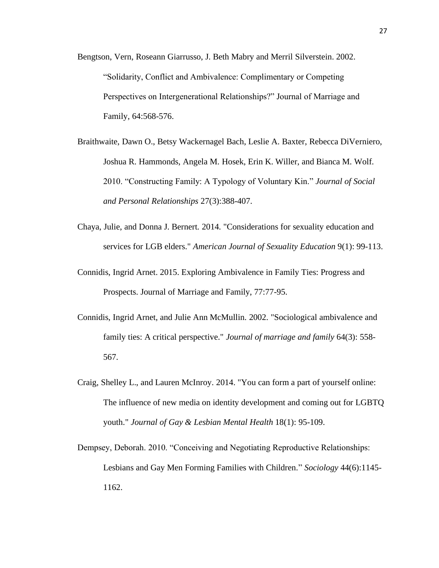- Bengtson, Vern, Roseann Giarrusso, J. Beth Mabry and Merril Silverstein. 2002. "Solidarity, Conflict and Ambivalence: Complimentary or Competing Perspectives on Intergenerational Relationships?" Journal of Marriage and Family, 64:568-576.
- Braithwaite, Dawn O., Betsy Wackernagel Bach, Leslie A. Baxter, Rebecca DiVerniero, Joshua R. Hammonds, Angela M. Hosek, Erin K. Willer, and Bianca M. Wolf. 2010. "Constructing Family: A Typology of Voluntary Kin." *Journal of Social and Personal Relationships* 27(3):388-407.
- Chaya, Julie, and Donna J. Bernert. 2014. "Considerations for sexuality education and services for LGB elders." *American Journal of Sexuality Education* 9(1): 99-113.
- Connidis, Ingrid Arnet. 2015. Exploring Ambivalence in Family Ties: Progress and Prospects. Journal of Marriage and Family, 77:77-95.
- Connidis, Ingrid Arnet, and Julie Ann McMullin. 2002. "Sociological ambivalence and family ties: A critical perspective." *Journal of marriage and family* 64(3): 558- 567.
- Craig, Shelley L., and Lauren McInroy. 2014. "You can form a part of yourself online: The influence of new media on identity development and coming out for LGBTQ youth." *Journal of Gay & Lesbian Mental Health* 18(1): 95-109.
- Dempsey, Deborah. 2010. "Conceiving and Negotiating Reproductive Relationships: Lesbians and Gay Men Forming Families with Children." *Sociology* 44(6):1145- 1162.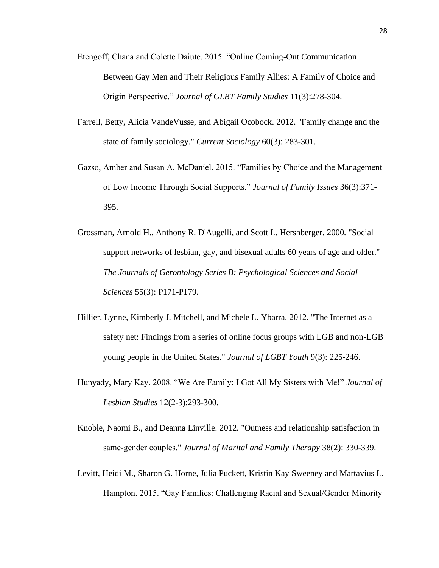- Etengoff, Chana and Colette Daiute. 2015. "Online Coming-Out Communication Between Gay Men and Their Religious Family Allies: A Family of Choice and Origin Perspective." *Journal of GLBT Family Studies* 11(3):278-304.
- Farrell, Betty, Alicia VandeVusse, and Abigail Ocobock. 2012. "Family change and the state of family sociology." *Current Sociology* 60(3): 283-301.
- Gazso, Amber and Susan A. McDaniel. 2015. "Families by Choice and the Management of Low Income Through Social Supports." *Journal of Family Issues* 36(3):371- 395.
- Grossman, Arnold H., Anthony R. D'Augelli, and Scott L. Hershberger. 2000. "Social support networks of lesbian, gay, and bisexual adults 60 years of age and older." *The Journals of Gerontology Series B: Psychological Sciences and Social Sciences* 55(3): P171-P179.
- Hillier, Lynne, Kimberly J. Mitchell, and Michele L. Ybarra. 2012. "The Internet as a safety net: Findings from a series of online focus groups with LGB and non-LGB young people in the United States." *Journal of LGBT Youth* 9(3): 225-246.
- Hunyady, Mary Kay. 2008. "We Are Family: I Got All My Sisters with Me!" *Journal of Lesbian Studies* 12(2-3):293-300.
- Knoble, Naomi B., and Deanna Linville. 2012. "Outness and relationship satisfaction in same‐gender couples." *Journal of Marital and Family Therapy* 38(2): 330-339.
- Levitt, Heidi M., Sharon G. Horne, Julia Puckett, Kristin Kay Sweeney and Martavius L. Hampton. 2015. "Gay Families: Challenging Racial and Sexual/Gender Minority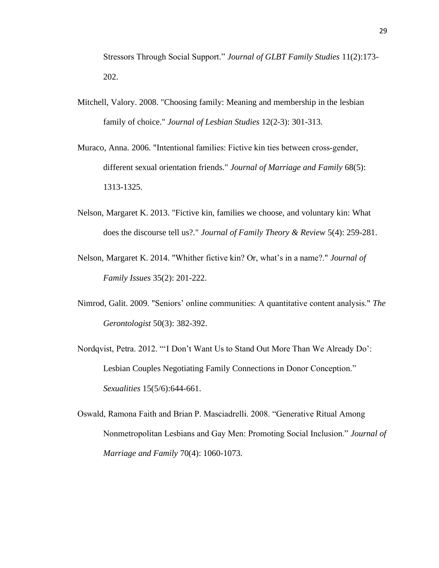Stressors Through Social Support." *Journal of GLBT Family Studies* 11(2):173- 202.

- Mitchell, Valory. 2008. "Choosing family: Meaning and membership in the lesbian family of choice." *Journal of Lesbian Studies* 12(2-3): 301-313.
- Muraco, Anna. 2006. "Intentional families: Fictive kin ties between cross‐gender, different sexual orientation friends." *Journal of Marriage and Family* 68(5): 1313-1325.
- Nelson, Margaret K. 2013. "Fictive kin, families we choose, and voluntary kin: What does the discourse tell us?." *Journal of Family Theory & Review* 5(4): 259-281.
- Nelson, Margaret K. 2014. "Whither fictive kin? Or, what's in a name?." *Journal of Family Issues* 35(2): 201-222.
- Nimrod, Galit. 2009. "Seniors' online communities: A quantitative content analysis." *The Gerontologist* 50(3): 382-392.
- Nordqvist, Petra. 2012. "'I Don't Want Us to Stand Out More Than We Already Do': Lesbian Couples Negotiating Family Connections in Donor Conception." *Sexualities* 15(5/6):644-661.
- Oswald, Ramona Faith and Brian P. Masciadrelli. 2008. "Generative Ritual Among Nonmetropolitan Lesbians and Gay Men: Promoting Social Inclusion." *Journal of Marriage and Family* 70(4): 1060-1073.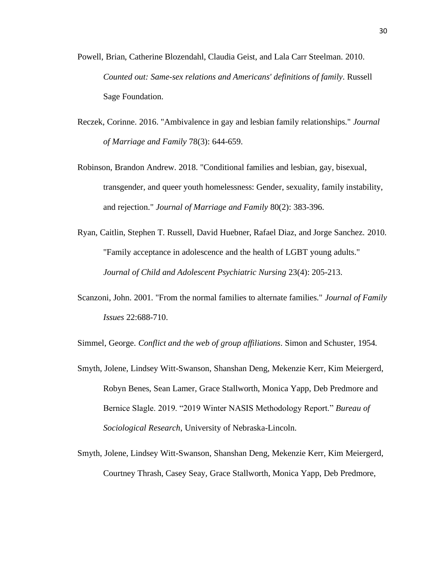- Powell, Brian, Catherine Blozendahl, Claudia Geist, and Lala Carr Steelman. 2010. *Counted out: Same-sex relations and Americans' definitions of family*. Russell Sage Foundation.
- Reczek, Corinne. 2016. "Ambivalence in gay and lesbian family relationships." *Journal of Marriage and Family* 78(3): 644-659.
- Robinson, Brandon Andrew. 2018. "Conditional families and lesbian, gay, bisexual, transgender, and queer youth homelessness: Gender, sexuality, family instability, and rejection." *Journal of Marriage and Family* 80(2): 383-396.
- Ryan, Caitlin, Stephen T. Russell, David Huebner, Rafael Diaz, and Jorge Sanchez. 2010. "Family acceptance in adolescence and the health of LGBT young adults." *Journal of Child and Adolescent Psychiatric Nursing* 23(4): 205-213.
- Scanzoni, John. 2001. "From the normal families to alternate families." *Journal of Family Issues* 22:688-710.

Simmel, George. *Conflict and the web of group affiliations*. Simon and Schuster, 1954.

- Smyth, Jolene, Lindsey Witt-Swanson, Shanshan Deng, Mekenzie Kerr, Kim Meiergerd, Robyn Benes, Sean Lamer, Grace Stallworth, Monica Yapp, Deb Predmore and Bernice Slagle. 2019. "2019 Winter NASIS Methodology Report." *Bureau of Sociological Research*, University of Nebraska-Lincoln.
- Smyth, Jolene, Lindsey Witt-Swanson, Shanshan Deng, Mekenzie Kerr, Kim Meiergerd, Courtney Thrash, Casey Seay, Grace Stallworth, Monica Yapp, Deb Predmore,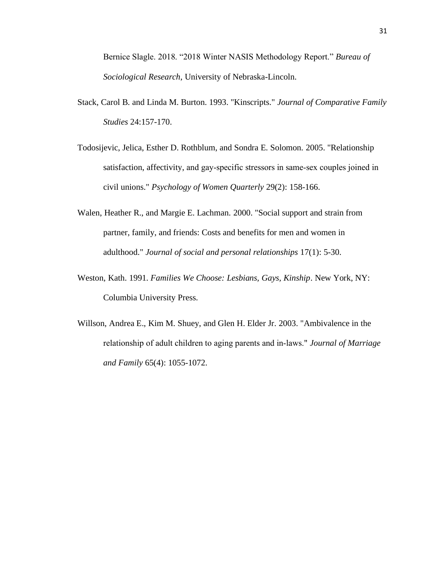Bernice Slagle. 2018. "2018 Winter NASIS Methodology Report." *Bureau of Sociological Research*, University of Nebraska-Lincoln.

- Stack, Carol B. and Linda M. Burton. 1993. "Kinscripts." *Journal of Comparative Family Studies* 24:157-170.
- Todosijevic, Jelica, Esther D. Rothblum, and Sondra E. Solomon. 2005. "Relationship satisfaction, affectivity, and gay‐specific stressors in same‐sex couples joined in civil unions." *Psychology of Women Quarterly* 29(2): 158-166.
- Walen, Heather R., and Margie E. Lachman. 2000. "Social support and strain from partner, family, and friends: Costs and benefits for men and women in adulthood." *Journal of social and personal relationships* 17(1): 5-30.
- Weston, Kath. 1991. *Families We Choose: Lesbians, Gays, Kinship*. New York, NY: Columbia University Press.
- Willson, Andrea E., Kim M. Shuey, and Glen H. Elder Jr. 2003. "Ambivalence in the relationship of adult children to aging parents and in‐laws." *Journal of Marriage and Family* 65(4): 1055-1072.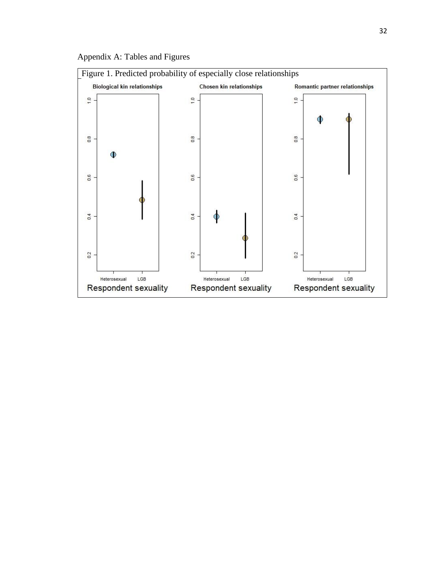

Appendix A: Tables and Figures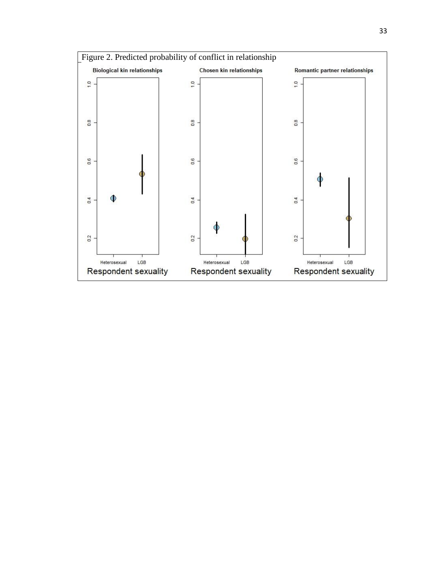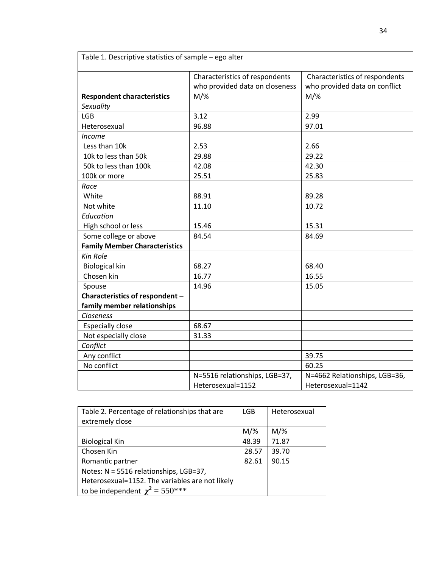| Table 1. Descriptive statistics of sample - ego alter |                                |                                |  |
|-------------------------------------------------------|--------------------------------|--------------------------------|--|
|                                                       | Characteristics of respondents | Characteristics of respondents |  |
|                                                       | who provided data on closeness | who provided data on conflict  |  |
| <b>Respondent characteristics</b>                     | $M/\%$                         | $M/\%$                         |  |
| Sexuality                                             |                                |                                |  |
| <b>LGB</b>                                            | 3.12                           | 2.99                           |  |
| Heterosexual                                          | 96.88                          | 97.01                          |  |
| <b>Income</b>                                         |                                |                                |  |
| Less than 10k                                         | 2.53                           | 2.66                           |  |
| 10k to less than 50k                                  | 29.88                          | 29.22                          |  |
| 50k to less than 100k                                 | 42.08                          | 42.30                          |  |
| 100k or more                                          | 25.51                          | 25.83                          |  |
| Race                                                  |                                |                                |  |
| White                                                 | 88.91                          | 89.28                          |  |
| Not white                                             | 11.10                          | 10.72                          |  |
| Education                                             |                                |                                |  |
| High school or less                                   | 15.46                          | 15.31                          |  |
| Some college or above                                 | 84.54                          | 84.69                          |  |
| <b>Family Member Characteristics</b>                  |                                |                                |  |
| Kin Role                                              |                                |                                |  |
| <b>Biological kin</b>                                 | 68.27                          | 68.40                          |  |
| Chosen kin                                            | 16.77                          | 16.55                          |  |
| Spouse                                                | 14.96                          | 15.05                          |  |
| Characteristics of respondent -                       |                                |                                |  |
| family member relationships                           |                                |                                |  |
| Closeness                                             |                                |                                |  |
| <b>Especially close</b>                               | 68.67                          |                                |  |
| Not especially close                                  | 31.33                          |                                |  |
| Conflict                                              |                                |                                |  |
| Any conflict                                          |                                | 39.75                          |  |
| No conflict                                           |                                | 60.25                          |  |
|                                                       | N=5516 relationships, LGB=37,  | N=4662 Relationships, LGB=36,  |  |
|                                                       | Heterosexual=1152              | Heterosexual=1142              |  |

| Table 2. Percentage of relationships that are   | <b>LGB</b> | Heterosexual |
|-------------------------------------------------|------------|--------------|
| extremely close                                 |            |              |
|                                                 | $M/\%$     | $M/\%$       |
| <b>Biological Kin</b>                           | 48.39      | 71.87        |
| Chosen Kin                                      | 28.57      | 39.70        |
| Romantic partner                                | 82.61      | 90.15        |
| Notes: N = 5516 relationships, LGB=37,          |            |              |
| Heterosexual=1152. The variables are not likely |            |              |
| to be independent $\chi^2 = 550^{***}$          |            |              |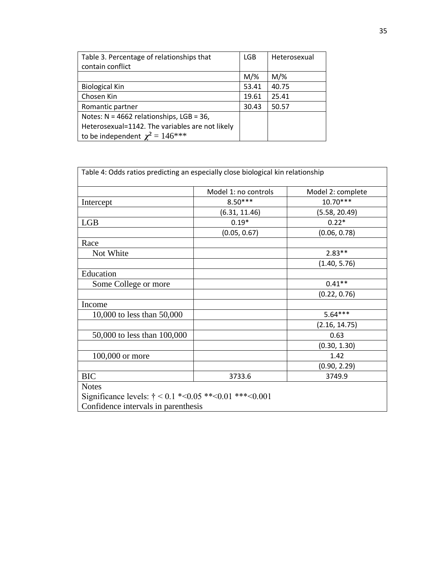| Table 3. Percentage of relationships that       | <b>LGB</b> | Heterosexual |
|-------------------------------------------------|------------|--------------|
| contain conflict                                |            |              |
|                                                 | $M/\%$     | $M/\%$       |
| <b>Biological Kin</b>                           | 53.41      | 40.75        |
| Chosen Kin                                      | 19.61      | 25.41        |
| Romantic partner                                | 30.43      | 50.57        |
| Notes: $N = 4662$ relationships, LGB = 36,      |            |              |
| Heterosexual=1142. The variables are not likely |            |              |
| to be independent $\chi^2 = 146$ ***            |            |              |

| Table 4: Odds ratios predicting an especially close biological kin relationship                                               |                      |                   |
|-------------------------------------------------------------------------------------------------------------------------------|----------------------|-------------------|
|                                                                                                                               | Model 1: no controls | Model 2: complete |
| Intercept                                                                                                                     | $8.50***$            | 10.70***          |
|                                                                                                                               | (6.31, 11.46)        | (5.58, 20.49)     |
| <b>LGB</b>                                                                                                                    | $0.19*$              | $0.22*$           |
|                                                                                                                               | (0.05, 0.67)         | (0.06, 0.78)      |
| Race                                                                                                                          |                      |                   |
| Not White                                                                                                                     |                      | $2.83**$          |
|                                                                                                                               |                      | (1.40, 5.76)      |
| Education                                                                                                                     |                      |                   |
| Some College or more                                                                                                          |                      | $0.41**$          |
|                                                                                                                               |                      | (0.22, 0.76)      |
| Income                                                                                                                        |                      |                   |
| 10,000 to less than 50,000                                                                                                    |                      | $5.64***$         |
|                                                                                                                               |                      | (2.16, 14.75)     |
| 50,000 to less than 100,000                                                                                                   |                      | 0.63              |
|                                                                                                                               |                      | (0.30, 1.30)      |
| 100,000 or more                                                                                                               |                      | 1.42              |
|                                                                                                                               |                      | (0.90, 2.29)      |
| <b>BIC</b>                                                                                                                    | 3733.6               | 3749.9            |
| <b>Notes</b><br>Significance levels: $\dot{\tau}$ < 0.1 *< 0.05 ** < 0.01 ** * < 0.001<br>Confidence intervals in parenthesis |                      |                   |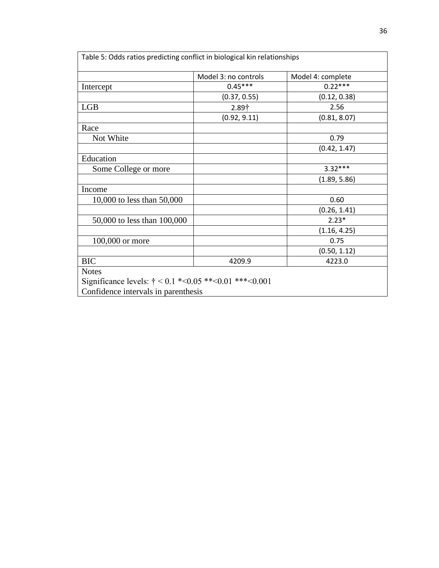| Table 5: Odds ratios predicting conflict in biological kin relationships |                      |                   |
|--------------------------------------------------------------------------|----------------------|-------------------|
|                                                                          | Model 3: no controls | Model 4: complete |
| Intercept                                                                | $0.45***$            | $0.22***$         |
|                                                                          | (0.37, 0.55)         | (0.12, 0.38)      |
| <b>LGB</b>                                                               | $2.89+$              | 2.56              |
|                                                                          | (0.92, 9.11)         | (0.81, 8.07)      |
| Race                                                                     |                      |                   |
| Not White                                                                |                      | 0.79              |
|                                                                          |                      | (0.42, 1.47)      |
| Education                                                                |                      |                   |
| Some College or more                                                     |                      | $3.32***$         |
|                                                                          |                      | (1.89, 5.86)      |
| Income                                                                   |                      |                   |
| 10,000 to less than 50,000                                               |                      | 0.60              |
|                                                                          |                      | (0.26, 1.41)      |
| 50,000 to less than 100,000                                              |                      | $2.23*$           |
|                                                                          |                      | (1.16, 4.25)      |
| 100,000 or more                                                          |                      | 0.75              |
|                                                                          |                      | (0.50, 1.12)      |
| <b>BIC</b>                                                               | 4209.9               | 4223.0            |
| <b>Notes</b>                                                             |                      |                   |
| Significance levels: $\dot{\tau}$ < 0.1 *< 0.05 ** < 0.01 ** * < 0.001   |                      |                   |
| Confidence intervals in parenthesis                                      |                      |                   |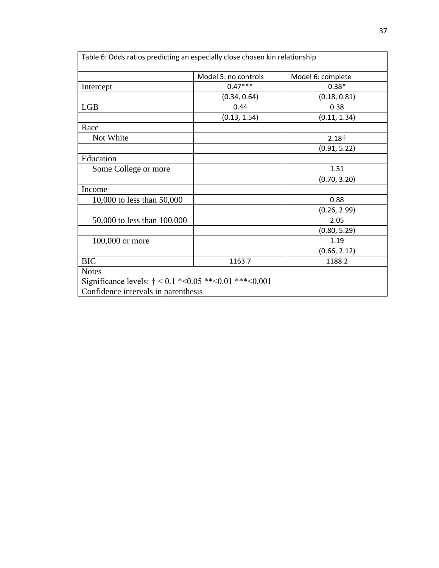| Table 6: Odds ratios predicting an especially close chosen kin relationship |                      |                   |
|-----------------------------------------------------------------------------|----------------------|-------------------|
|                                                                             | Model 5: no controls | Model 6: complete |
| Intercept                                                                   | $0.47***$            | $0.38*$           |
|                                                                             | (0.34, 0.64)         | (0.18, 0.81)      |
| <b>LGB</b>                                                                  | 0.44                 | 0.38              |
|                                                                             | (0.13, 1.54)         | (0.11, 1.34)      |
| Race                                                                        |                      |                   |
| Not White                                                                   |                      | 2.18 <sup>†</sup> |
|                                                                             |                      | (0.91, 5.22)      |
| Education                                                                   |                      |                   |
| Some College or more                                                        |                      | 1.51              |
|                                                                             |                      | (0.70, 3.20)      |
| Income                                                                      |                      |                   |
| 10,000 to less than 50,000                                                  |                      | 0.88              |
|                                                                             |                      | (0.26, 2.99)      |
| 50,000 to less than 100,000                                                 |                      | 2.05              |
|                                                                             |                      | (0.80, 5.29)      |
| 100,000 or more                                                             |                      | 1.19              |
|                                                                             |                      | (0.66, 2.12)      |
| <b>BIC</b>                                                                  | 1163.7               | 1188.2            |
| <b>Notes</b>                                                                |                      |                   |
| Significance levels: $\dot{\tau}$ < 0.1 *< 0.05 ** < 0.01 *** < 0.001       |                      |                   |
| Confidence intervals in parenthesis                                         |                      |                   |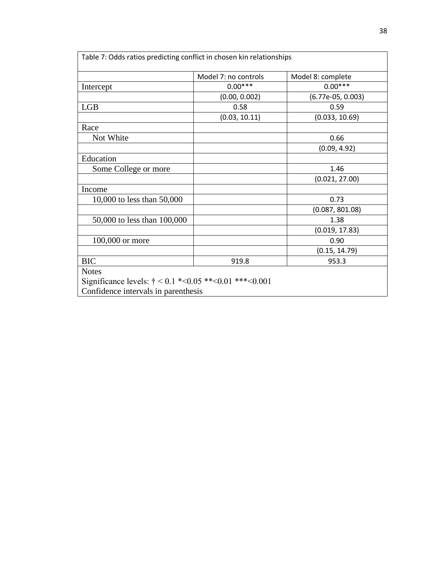| Table 7: Odds ratios predicting conflict in chosen kin relationships   |                      |                     |
|------------------------------------------------------------------------|----------------------|---------------------|
|                                                                        | Model 7: no controls | Model 8: complete   |
| Intercept                                                              | $0.00***$            | $0.00***$           |
|                                                                        | (0.00, 0.002)        | $(6.77e-05, 0.003)$ |
| <b>LGB</b>                                                             | 0.58                 | 0.59                |
|                                                                        | (0.03, 10.11)        | (0.033, 10.69)      |
| Race                                                                   |                      |                     |
| Not White                                                              |                      | 0.66                |
|                                                                        |                      | (0.09, 4.92)        |
| Education                                                              |                      |                     |
| Some College or more                                                   |                      | 1.46                |
|                                                                        |                      | (0.021, 27.00)      |
| Income                                                                 |                      |                     |
| 10,000 to less than 50,000                                             |                      | 0.73                |
|                                                                        |                      | (0.087, 801.08)     |
| 50,000 to less than 100,000                                            |                      | 1.38                |
|                                                                        |                      | (0.019, 17.83)      |
| 100,000 or more                                                        |                      | 0.90                |
|                                                                        |                      | (0.15, 14.79)       |
| <b>BIC</b>                                                             | 919.8                | 953.3               |
| <b>Notes</b>                                                           |                      |                     |
| Significance levels: $\dot{\tau}$ < 0.1 *< 0.05 ** < 0.01 ** * < 0.001 |                      |                     |
| Confidence intervals in parenthesis                                    |                      |                     |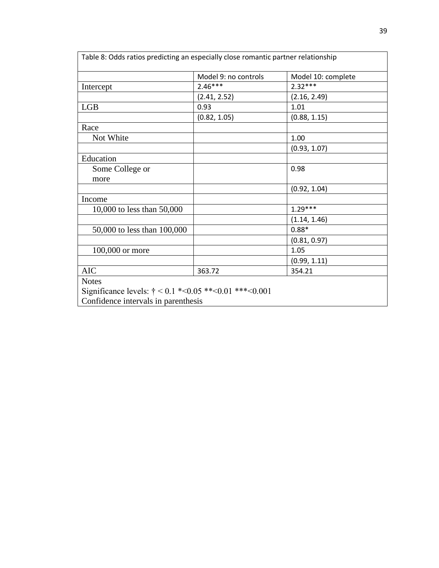|                             | Model 9: no controls | Model 10: complete |
|-----------------------------|----------------------|--------------------|
| Intercept                   | $2.46***$            | $2.32***$          |
|                             | (2.41, 2.52)         | (2.16, 2.49)       |
| <b>LGB</b>                  | 0.93                 | 1.01               |
|                             | (0.82, 1.05)         | (0.88, 1.15)       |
| Race                        |                      |                    |
| Not White                   |                      | 1.00               |
|                             |                      | (0.93, 1.07)       |
| Education                   |                      |                    |
| Some College or             |                      | 0.98               |
| more                        |                      |                    |
|                             |                      | (0.92, 1.04)       |
| Income                      |                      |                    |
| 10,000 to less than 50,000  |                      | $1.29***$          |
|                             |                      | (1.14, 1.46)       |
| 50,000 to less than 100,000 |                      | $0.88*$            |
|                             |                      | (0.81, 0.97)       |
| 100,000 or more             |                      | 1.05               |
|                             |                      | (0.99, 1.11)       |
|                             | 363.72               | 354.21             |